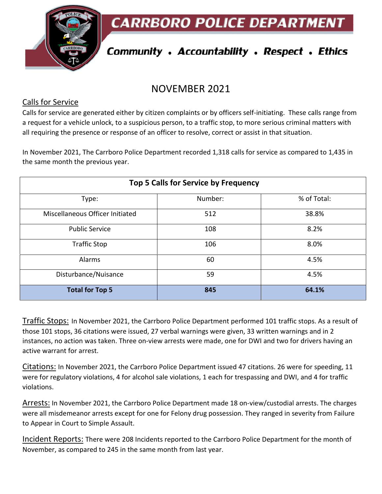**CARRBORO POLICE DEPARTMEN** 



# **Community . Accountability . Respect . Ethics**

## NOVEMBER 2021

#### Calls for Service

Calls for service are generated either by citizen complaints or by officers self-initiating. These calls range from a request for a vehicle unlock, to a suspicious person, to a traffic stop, to more serious criminal matters with all requiring the presence or response of an officer to resolve, correct or assist in that situation.

In November 2021, The Carrboro Police Department recorded 1,318 calls for service as compared to 1,435 in the same month the previous year.

| Top 5 Calls for Service by Frequency |         |             |
|--------------------------------------|---------|-------------|
| Type:                                | Number: | % of Total: |
| Miscellaneous Officer Initiated      | 512     | 38.8%       |
| <b>Public Service</b>                | 108     | 8.2%        |
| <b>Traffic Stop</b>                  | 106     | 8.0%        |
| Alarms                               | 60      | 4.5%        |
| Disturbance/Nuisance                 | 59      | 4.5%        |
| <b>Total for Top 5</b>               | 845     | 64.1%       |

Traffic Stops: In November 2021, the Carrboro Police Department performed 101 traffic stops. As a result of those 101 stops, 36 citations were issued, 27 verbal warnings were given, 33 written warnings and in 2 instances, no action was taken. Three on-view arrests were made, one for DWI and two for drivers having an active warrant for arrest.

Citations: In November 2021, the Carrboro Police Department issued 47 citations. 26 were for speeding, 11 were for regulatory violations, 4 for alcohol sale violations, 1 each for trespassing and DWI, and 4 for traffic violations.

Arrests: In November 2021, the Carrboro Police Department made 18 on-view/custodial arrests. The charges were all misdemeanor arrests except for one for Felony drug possession. They ranged in severity from Failure to Appear in Court to Simple Assault.

Incident Reports: There were 208 Incidents reported to the Carrboro Police Department for the month of November, as compared to 245 in the same month from last year.